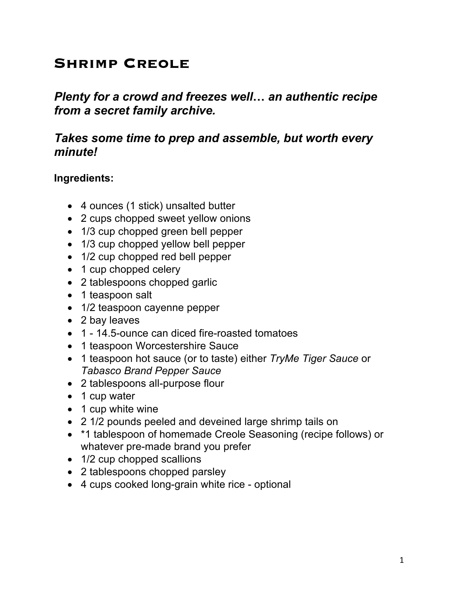# **Shrimp Creole**

*Plenty for a crowd and freezes well***…** *an authentic recipe from a secret family archive.*

## *Takes some time to prep and assemble, but worth every minute!*

#### **Ingredients:**

- 4 ounces (1 stick) unsalted butter
- 2 cups chopped sweet yellow onions
- 1/3 cup chopped green bell pepper
- 1/3 cup chopped yellow bell pepper
- 1/2 cup chopped red bell pepper
- 1 cup chopped celery
- 2 tablespoons chopped garlic
- 1 teaspoon salt
- 1/2 teaspoon cayenne pepper
- 2 bay leaves
- 1 14.5-ounce can diced fire-roasted tomatoes
- 1 teaspoon Worcestershire Sauce
- 1 teaspoon hot sauce (or to taste) either *TryMe Tiger Sauce* or *Tabasco Brand Pepper Sauce*
- 2 tablespoons all-purpose flour
- 1 cup water
- 1 cup white wine
- 2 1/2 pounds peeled and deveined large shrimp tails on
- \*1 tablespoon of homemade Creole Seasoning (recipe follows) or whatever pre-made brand you prefer
- 1/2 cup chopped scallions
- 2 tablespoons chopped parsley
- 4 cups cooked long-grain white rice optional